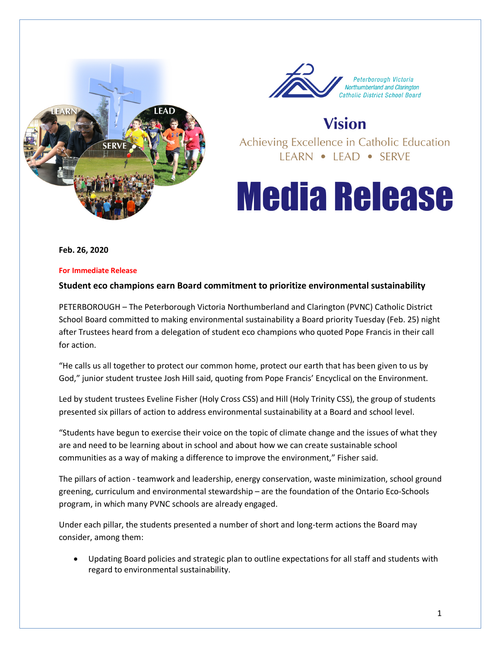



# **Vision**

Achieving Excellence in Catholic Education IFARN • IFAD • SFRVF

# **Media Release**

**Feb. 26, 2020**

#### **For Immediate Release**

### **Student eco champions earn Board commitment to prioritize environmental sustainability**

PETERBOROUGH – The Peterborough Victoria Northumberland and Clarington (PVNC) Catholic District School Board committed to making environmental sustainability a Board priority Tuesday (Feb. 25) night after Trustees heard from a delegation of student eco champions who quoted Pope Francis in their call for action.

"He calls us all together to protect our common home, protect our earth that has been given to us by God," junior student trustee Josh Hill said, quoting from Pope Francis' [Encyclical on the Environment.](http://www.vatican.va/content/francesco/en/encyclicals/documents/papa-francesco_20150524_enciclica-laudato-si.html)

Led by student trustees Eveline Fisher (Holy Cross CSS) and Hill (Holy Trinity CSS), the group of students presented six pillars of action to address environmental sustainability at a Board and school level.

"Students have begun to exercise their voice on the topic of climate change and the issues of what they are and need to be learning about in school and about how we can create sustainable school communities as a way of making a difference to improve the environment," Fisher said.

The pillars of action - teamwork and leadership, energy conservation, waste minimization, school ground greening, curriculum and environmental stewardship – are the foundation of the Ontario Eco-Schools program, in which many PVNC schools are already engaged.

Under each pillar, the students presented a number of short and long-term actions the Board may consider, among them:

• Updating Board policies and strategic plan to outline expectations for all staff and students with regard to environmental sustainability.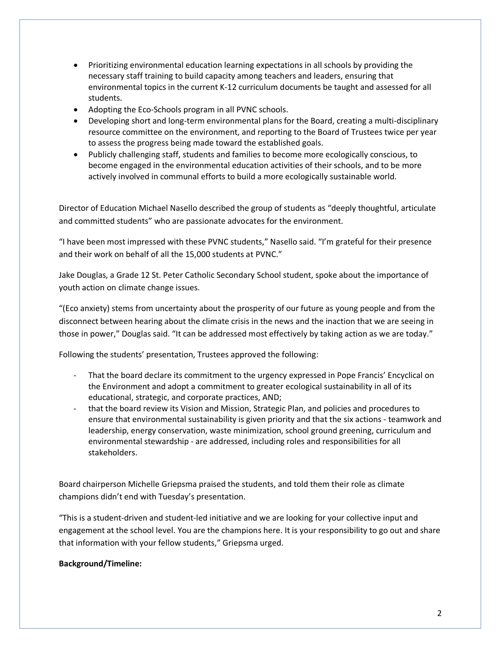- Prioritizing environmental education learning expectations in all schools by providing the necessary staff training to build capacity among teachers and leaders, ensuring that environmental topics in the current K-12 curriculum documents be taught and assessed for all students.
- Adopting the Eco-Schools program in all PVNC schools.
- Developing short and long-term environmental plans for the Board, creating a multi-disciplinary resource committee on the environment, and reporting to the Board of Trustees twice per year to assess the progress being made toward the established goals.
- Publicly challenging staff, students and families to become more ecologically conscious, to become engaged in the environmental education activities of their schools, and to be more actively involved in communal efforts to build a more ecologically sustainable world.

Director of Education Michael Nasello described the group of students as "deeply thoughtful, articulate and committed students" who are passionate advocates for the environment.

"I have been most impressed with these PVNC students," Nasello said. "I'm grateful for their presence and their work on behalf of all the 15,000 students at PVNC."

Jake Douglas, a Grade 12 St. Peter Catholic Secondary School student, spoke about the importance of youth action on climate change issues.

"(Eco anxiety) stems from uncertainty about the prosperity of our future as young people and from the disconnect between hearing about the climate crisis in the news and the inaction that we are seeing in those in power," Douglas said. "It can be addressed most effectively by taking action as we are today."

Following the students' presentation, Trustees approved the following:

- That the board declare its commitment to the urgency expressed in Pope Francis' Encyclical on the Environment and adopt a commitment to greater ecological sustainability in all of its educational, strategic, and corporate practices, AND;
- that the board review its Vision and Mission, Strategic Plan, and policies and procedures to ensure that environmental sustainability is given priority and that the six actions - teamwork and leadership, energy conservation, waste minimization, school ground greening, curriculum and environmental stewardship - are addressed, including roles and responsibilities for all stakeholders.

Board chairperson Michelle Griepsma praised the students, and told them their role as climate champions didn't end with Tuesday's presentation.

"This is a student-driven and student-led initiative and we are looking for your collective input and engagement at the school level. You are the champions here. It is your responsibility to go out and share that information with your fellow students," Griepsma urged.

## **Background/Timeline:**